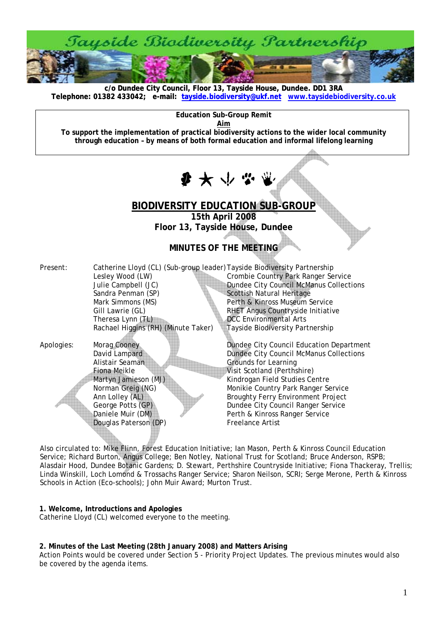

**c/o Dundee City Council, Floor 13, Tayside House, Dundee. DD1 3RA [Telephone: 01382 433042; e-mail: tayside.biodiversity@ukf.net](mailto:tayside.biodiversity@ukf.net) www.taysidebiodiversity.co.u[k](http://www.taysidebiodiversity.co.uk/)**

**Education Sub-Group Remit** 

**Aim**

**To support the implementation of practical biodiversity actions to the wider local community through education – by means of both formal education and informal lifelong learning** 

 $\mathbf{F}$   $\mathbf{F}$   $\mathbf{F}$   $\mathbf{F}$ 

# **BIODIVERSITY EDUCATION SUB-GROUP**

**15th April 2008 Floor 13, Tayside House, Dundee** 

## **MINUTES OF THE MEETING**

| Present:   | Catherine Lloyd (CL) (Sub-group leader) Tayside Biodiversity Partnership |                                                |
|------------|--------------------------------------------------------------------------|------------------------------------------------|
|            | Lesley Wood (LW)                                                         | Crombie Country Park Ranger Service            |
|            | Julie Campbell (JC)                                                      | <b>Dundee City Council McManus Collections</b> |
|            | Sandra Penman (SP)                                                       | Scottish Natural Heritage                      |
|            | Mark Simmons (MS)                                                        | Perth & Kinross Museum Service                 |
|            | Gill Lawrie (GL)                                                         | RHET Angus Countryside Initiative              |
|            | Theresa Lynn (TL)                                                        | <b>DCC</b> Environmental Arts                  |
|            | Rachael Higgins (RH) (Minute Taker)                                      | <b>Tayside Biodiversity Partnership</b>        |
|            |                                                                          |                                                |
| Apologies: | Morag Cooney                                                             | Dundee City Council Education Department       |
|            | David Lampard                                                            | Dundee City Council McManus Collections        |
|            | Alistair Seaman                                                          | <b>Grounds for Learning</b>                    |
|            | Fiona Meikle                                                             | Visit Scotland (Perthshire)                    |
|            | Martyn Jamieson (MJ)                                                     | Kindrogan Field Studies Centre                 |
|            | Norman Greig (NG)                                                        | Monikie Country Park Ranger Service            |
|            | Ann Lolley (AL)                                                          | <b>Broughty Ferry Environment Project</b>      |
|            | George Potts (GP)                                                        | Dundee City Council Ranger Service             |
|            | Daniele Muir (DM)                                                        | Perth & Kinross Ranger Service                 |
|            | Douglas Paterson (DP)                                                    | <b>Freelance Artist</b>                        |
|            |                                                                          |                                                |

Also circulated to: Mike Flinn, Forest Education Initiative; Ian Mason, Perth & Kinross Council Education Service; Richard Burton, Angus College; Ben Notley, National Trust for Scotland; Bruce Anderson, RSPB; Alasdair Hood, Dundee Botanic Gardens; D. Stewart, Perthshire Countryside Initiative; Fiona Thackeray, Trellis; Linda Winskill, Loch Lomond & Trossachs Ranger Service; Sharon Neilson, SCRI; Serge Merone, Perth & Kinross Schools in Action (Eco-schools); John Muir Award; Murton Trust.

**1. Welcome, Introductions and Apologies**  Catherine Lloyd (CL) welcomed everyone to the meeting.

## **2. Minutes of the Last Meeting (28th January 2008) and Matters Arising**

Action Points would be covered under Section 5 - Priority Project Updates. The previous minutes would also be covered by the agenda items.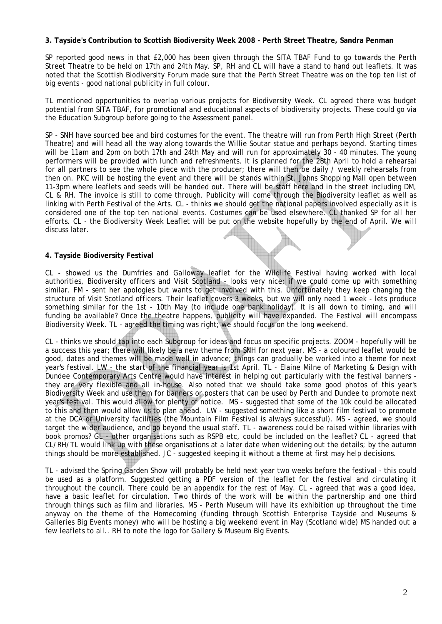## **3. Tayside's Contribution to Scottish Biodiversity Week 2008 - Perth Street Theatre, Sandra Penman**

SP reported good news in that £2,000 has been given through the SITA TBAF Fund to go towards the Perth Street Theatre to be held on 17th and 24th May. SP, RH and CL will have a stand to hand out leaflets. It was noted that the Scottish Biodiversity Forum made sure that the Perth Street Theatre was on the top ten list of big events - good national publicity in full colour.

TL mentioned opportunities to overlap various projects for Biodiversity Week. CL agreed there was budget potential from SITA TBAF, for promotional and educational aspects of biodiversity projects. These could go via the Education Subgroup before going to the Assessment panel.

SP - SNH have sourced bee and bird costumes for the event. The theatre will run from Perth High Street (Perth Theatre) and will head all the way along towards the Willie Soutar statue and perhaps beyond. Starting times will be 11am and 2pm on both 17th and 24th May and will run for approximately 30 - 40 minutes. The young performers will be provided with lunch and refreshments. It is planned for the 28th April to hold a rehearsal for all partners to see the whole piece with the producer; there will then be daily / weekly rehearsals from then on. PKC will be hosting the event and there will be stands within St. Johns Shopping Mall open between 11-3pm where leaflets and seeds will be handed out. There will be staff here and in the street including DM, CL & RH. The invoice is still to come through. Publicity will come through the Biodiversity leaflet as well as linking with Perth Festival of the Arts. CL - thinks we should get the national papers involved especially as it is considered one of the top ten national events. Costumes can be used elsewhere. CL thanked SP for all her efforts. CL - the Biodiversity Week Leaflet will be put on the website hopefully by the end of April. We will discuss later.

## **4. Tayside Biodiversity Festival**

CL - showed us the Dumfries and Galloway leaflet for the Wildlife Festival having worked with local authorities, Biodiversity officers and Visit Scotland - looks very nice; if we could come up with something similar. FM - sent her apologies but wants to get involved with this. Unfortunately they keep changing the structure of Visit Scotland officers. Their leaflet covers 3 weeks, but we will only need 1 week - lets produce something similar for the 1st - 10th May (to include one bank holiday). It is all down to timing, and will funding be available? Once the theatre happens, publicity will have expanded. The Festival will encompass Biodiversity Week. TL - agreed the timing was right; we should focus on the long weekend.

CL - thinks we should tap into each Subgroup for ideas and focus on specific projects. ZOOM - hopefully will be a success this year; there will likely be a new theme from SNH for next year. MS - a coloured leaflet would be good, dates and themes will be made well in advance; things can gradually be worked into a theme for next year's festival. LW - the start of the financial year is 1st April. TL - Elaine Milne of Marketing & Design with Dundee Contemporary Arts Centre would have interest in helping out particularly with the festival banners they are very flexible and all in-house. Also noted that we should take some good photos of this year's Biodiversity Week and use them for banners or posters that can be used by Perth and Dundee to promote next year's festival. This would allow for plenty of notice. MS - suggested that some of the 10k could be allocated to this and then would allow us to plan ahead. LW - suggested something like a short film festival to promote at the DCA or University facilities (the Mountain Film Festival is always successful). MS - agreed, we should target the wider audience, and go beyond the usual staff. TL - awareness could be raised within libraries with book promos? GL - other organisations such as RSPB etc, could be included on the leaflet? CL - agreed that CL/RH/TL would link up with these organisations at a later date when widening out the details; by the autumn things should be more established. JC - suggested keeping it without a theme at first may help decisions.

TL - advised the Spring Garden Show will probably be held next year two weeks before the festival - this could be used as a platform. Suggested getting a PDF version of the leaflet for the festival and circulating it throughout the council. There could be an appendix for the rest of May. CL - agreed that was a good idea, have a basic leaflet for circulation. Two thirds of the work will be within the partnership and one third through things such as film and libraries. MS - Perth Museum will have its exhibition up throughout the time anyway on the theme of the Homecoming (funding through Scottish Enterprise Tayside and Museums & Galleries Big Events money) who will be hosting a big weekend event in May (Scotland wide) MS handed out a few leaflets to all.. RH to note the logo for Gallery & Museum Big Events.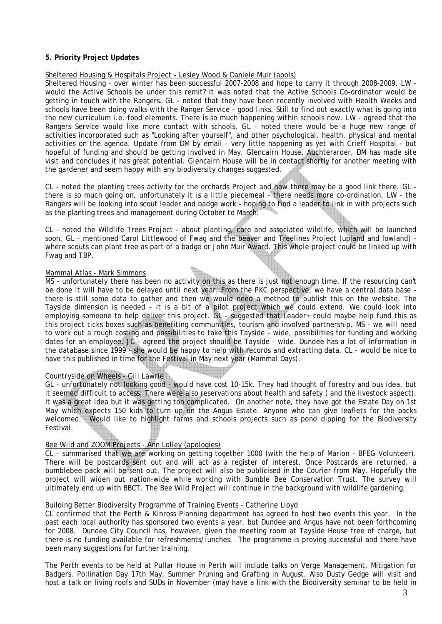## **5. Priority Project Updates**

### Sheltered Housing & Hospitals Project - Lesley Wood & Daniele Muir (apols)

Sheltered Housing - over winter has been successful 2007-2008 and hope to carry it through 2008-2009. LW would the Active Schools be under this remit? It was noted that the Active Schools Co-ordinator would be getting in touch with the Rangers. GL - noted that they have been recently involved with Health Weeks and schools have been doing walks with the Ranger Service - good links. Still to find out exactly what is going into the new curriculum i.e. food elements. There is so much happening within schools now. LW - agreed that the Rangers Service would like more contact with schools. GL - noted there would be a huge new range of activities incorporated such as "Looking after yourself", and other psychological, health, physical and mental activities on the agenda. Update from DM by email - very little happening as yet with Crieff Hospital - but hopeful of funding and should be getting involved in May. Glencairn House, Auchterarder, DM has made site visit and concludes it has great potential. Glencairn House will be in contact shortly for another meeting with the gardener and seem happy with any biodiversity changes suggested.

CL - noted the planting trees activity for the orchards Project and how there may be a good link there. GL there is so much going on, unfortunately it is a little piecemeal - there needs more co-ordination. LW - the Rangers will be looking into scout leader and badge work - hoping to find a leader to link in with projects such as the planting trees and management during October to March.

CL - noted the Wildlife Trees Project - about planting, care and associated wildlife, which will be launched soon. GL - mentioned Carol Littlewood of Fwag and the beaver and Treelines Project (upland and lowland) where scouts can plant tree as part of a badge or John Muir Award. This whole project could be linked up with Fwag and TBP.

### Mammal Atlas - Mark Simmons

MS - unfortunately there has been no activity on this as there is just not enough time. If the resourcing can't be done it will have to be delayed until next year. From the PKC perspective, we have a central data base there is still some data to gather and then we would need a method to publish this on the website. The Tayside dimension is needed - it is a bit of a pilot project which we could extend. We could look into employing someone to help deliver this project. GL - suggested that Leader+ could maybe help fund this as this project ticks boxes such as benefiting communities, tourism and involved partnership. MS - we will need to work out a rough costing and possibilities to take this Tayside - wide, possibilities for funding and working dates for an employee. JC - agreed the project should be Tayside - wide. Dundee has a lot of information in the database since 1999 - she would be happy to help with records and extracting data. CL - would be nice to have this published in time for the Festival in May next year (Mammal Days).

#### Countryside on Wheels - Gill Lawrie

GL - unfortunately not looking good - would have cost 10-15k. They had thought of forestry and bus idea, but it seemed difficult to access. There were also reservations about health and safety ( and the livestock aspect). It was a great idea but it was getting too complicated. On another note, they have got the Estate Day on 1st May which expects 150 kids to turn up on the Angus Estate. Anyone who can give leaflets for the packs welcomed. Would like to highlight farms and schools projects such as pond dipping for the Biodiversity Festival.

## Bee Wild and ZOOM Projects - Ann Lolley (apologies)

CL - summarised that we are working on getting together 1000 (with the help of Marion - BFEG Volunteer). There will be postcards sent out and will act as a register of interest. Once Postcards are returned, a bumblebee pack will be sent out. The project will also be publicised in the Courier from May. Hopefully the project will widen out nation-wide while working with Bumble Bee Conservation Trust. The survey will ultimately end up with BBCT. The Bee Wild Project will continue in the background with wildlife gardening.

#### Building Better Biodiversity Programme of Training Events - Catherine Lloyd

CL confirmed that the Perth & Kinross Planning department has agreed to host two events this year. In the past each local authority has sponsored two events a year, but Dundee and Angus have not been forthcoming for 2008. Dundee City Council has, however, given the meeting room at Tayside House free of charge, but there is no funding available for refreshments/lunches. The programme is proving successful and there have been many suggestions for further training.

The Perth events to be held at Pullar House in Perth will include talks on Verge Management, Mitigation for Badgers, Pollination Day 17th May, Summer Pruning and Grafting in August. Also Dusty Gedge will visit and host a talk on living roofs and SUDs in November (may have a link with the Biodiversity seminar to be held in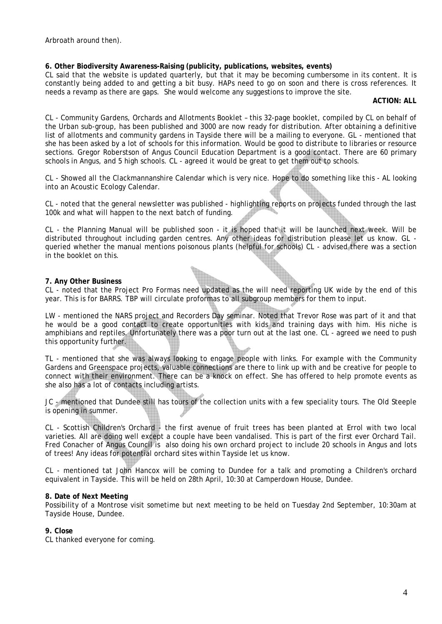Arbroath around then).

## **6. Other Biodiversity Awareness-Raising (publicity, publications, websites, events)**

CL said that the website is updated quarterly, but that it may be becoming cumbersome in its content. It is constantly being added to and getting a bit busy. HAPs need to go on soon and there is cross references. It needs a revamp as there are gaps. She would welcome any suggestions to improve the site.

**ACTION: ALL** 

CL - Community Gardens, Orchards and Allotments Booklet – this 32-page booklet, compiled by CL on behalf of the Urban sub-group, has been published and 3000 are now ready for distribution. After obtaining a definitive list of allotments and community gardens in Tayside there will be a mailing to everyone. GL - mentioned that she has been asked by a lot of schools for this information. Would be good to distribute to libraries or resource sections. Gregor Roberstson of Angus Council Education Department is a good contact. There are 60 primary schools in Angus, and 5 high schools. CL - agreed it would be great to get them out to schools.

CL - Showed all the Clackmannanshire Calendar which is very nice. Hope to do something like this - AL looking into an Acoustic Ecology Calendar.

CL - noted that the general newsletter was published - highlighting reports on projects funded through the last 100k and what will happen to the next batch of funding.

CL - the Planning Manual will be published soon - it is hoped that it will be launched next week. Will be distributed throughout including garden centres. Any other ideas for distribution please let us know. GL queried whether the manual mentions poisonous plants (helpful for schools) CL - advised there was a section in the booklet on this.

## **7. Any Other Business**

CL - noted that the Project Pro Formas need updated as the will need reporting UK wide by the end of this year. This is for BARRS. TBP will circulate proformas to all subgroup members for them to input.

LW - mentioned the NARS project and Recorders Day seminar. Noted that Trevor Rose was part of it and that he would be a good contact to create opportunities with kids and training days with him. His niche is amphibians and reptiles. Unfortunately there was a poor turn out at the last one. CL - agreed we need to push this opportunity further.

TL - mentioned that she was always looking to engage people with links. For example with the Community Gardens and Greenspace projects, valuable connections are there to link up with and be creative for people to connect with their environment. There can be a knock on effect. She has offered to help promote events as she also has a lot of contacts including artists.

JC - mentioned that Dundee still has tours of the collection units with a few speciality tours. The Old Steeple is opening in summer.

CL - Scottish Children's Orchard - the first avenue of fruit trees has been planted at Errol with two local varieties. All are doing well except a couple have been vandalised. This is part of the first ever Orchard Tail. Fred Conacher of Angus Council is also doing his own orchard project to include 20 schools in Angus and lots of trees! Any ideas for potential orchard sites within Tayside let us know.

CL - mentioned tat John Hancox will be coming to Dundee for a talk and promoting a Children's orchard equivalent in Tayside. This will be held on 28th April, 10:30 at Camperdown House, Dundee.

#### **8. Date of Next Meeting**

Possibility of a Montrose visit sometime but next meeting to be held on Tuesday 2nd September, 10:30am at Tayside House, Dundee.

#### **9. Close**

CL thanked everyone for coming.